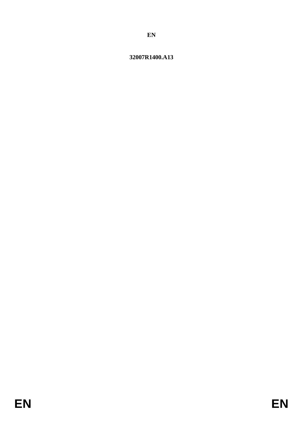# 32007R1400.A13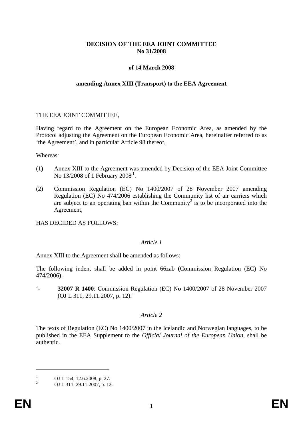## **DECISION OF THE EEA JOINT COMMITTEE No 31/2008**

## **of 14 March 2008**

#### **amending Annex XIII (Transport) to the EEA Agreement**

## THE EEA JOINT COMMITTEE,

Having regard to the Agreement on the European Economic Area, as amended by the Protocol adjusting the Agreement on the European Economic Area, hereinafter referred to as 'the Agreement', and in particular Article 98 thereof,

Whereas:

- (1) Annex XIII to the Agreement was amended by Decision of the EEA Joint Committee No  $13/2008$  $13/2008$  of 1 February  $2008<sup>1</sup>$ .
- (2) Commission Regulation (EC) No 1400/2007 of 28 November 2007 amending Regulation (EC) No 474/2006 establishing the Community list of air carriers which are subject to an operating ban within the Community<sup>2</sup> is to be incorporated into the Agreement,

HAS DECIDED AS FOLLOWS:

#### *Article 1*

Annex XIII to the Agreement shall be amended as follows:

The following indent shall be added in point 66zab (Commission Regulation (EC) No 474/2006):

'- **32007 R 1400**: Commission Regulation (EC) No 1400/2007 of 28 November 2007 (OJ L 311, 29.11.2007, p. 12).'

## *Article 2*

The texts of Regulation (EC) No 1400/2007 in the Icelandic and Norwegian languages, to be published in the EEA Supplement to the *Official Journal of the European Union*, shall be authentic.

-

 $\frac{1}{2}$  OJ L 154, 12.6.2008, p. 27.<br>OJ L 311, 29.11.2007, p. 12.

<span id="page-1-0"></span>